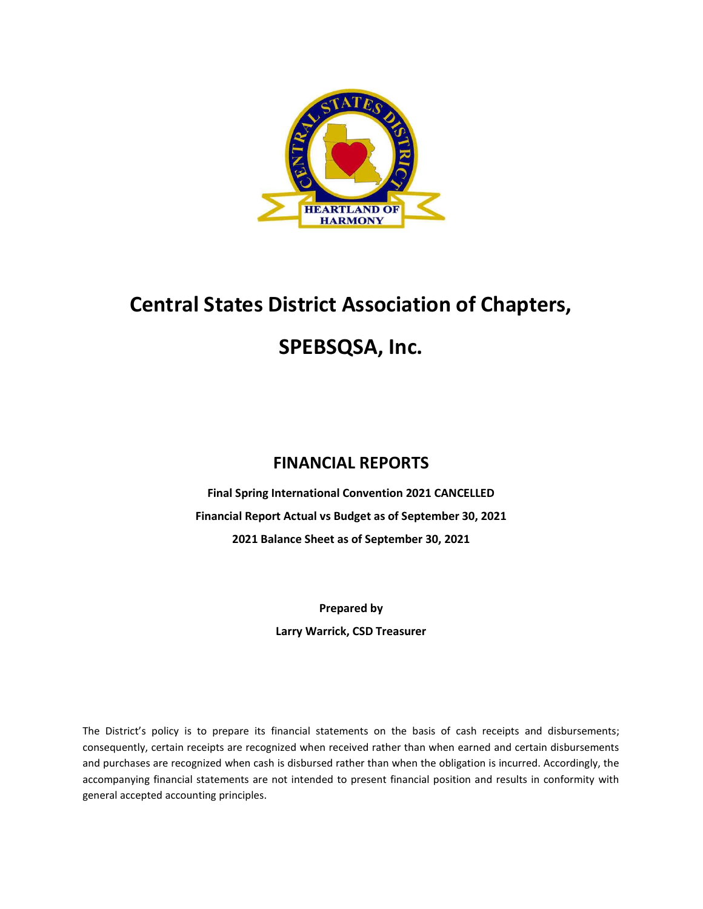

# Central States District Association of Chapters, SPEBSQSA, Inc.

### FINANCIAL REPORTS

Final Spring International Convention 2021 CANCELLED Financial Report Actual vs Budget as of September 30, 2021 2021 Balance Sheet as of September 30, 2021

> Prepared by Larry Warrick, CSD Treasurer

The District's policy is to prepare its financial statements on the basis of cash receipts and disbursements; consequently, certain receipts are recognized when received rather than when earned and certain disbursements and purchases are recognized when cash is disbursed rather than when the obligation is incurred. Accordingly, the accompanying financial statements are not intended to present financial position and results in conformity with general accepted accounting principles.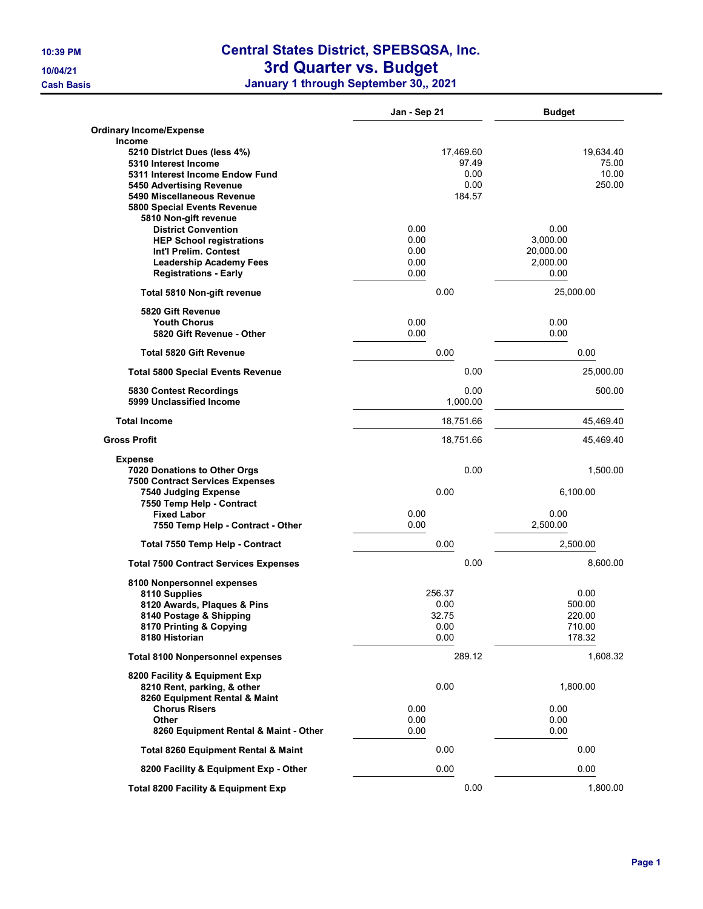## 10:39 PM Central States District, SPEBSQSA, Inc.

#### 10/04/21 **3rd Quarter vs. Budget**

Cash Basis January 1 through September 30,, 2021

|                                                     | Jan - Sep 21 | <b>Budget</b>   |
|-----------------------------------------------------|--------------|-----------------|
| <b>Ordinary Income/Expense</b>                      |              |                 |
| Income                                              |              |                 |
| 5210 District Dues (less 4%)                        | 17,469.60    | 19,634.40       |
| 5310 Interest Income                                | 97.49        | 75.00           |
| 5311 Interest Income Endow Fund                     | 0.00         | 10.00<br>250.00 |
| 5450 Advertising Revenue                            | 0.00         |                 |
| 5490 Miscellaneous Revenue                          | 184.57       |                 |
| 5800 Special Events Revenue                         |              |                 |
| 5810 Non-gift revenue                               |              |                 |
| <b>District Convention</b>                          | 0.00         | 0.00            |
| <b>HEP School registrations</b>                     | 0.00         | 3.000.00        |
| Int'l Prelim. Contest                               | 0.00         | 20,000.00       |
| <b>Leadership Academy Fees</b>                      | 0.00         | 2,000.00        |
| <b>Registrations - Early</b>                        | 0.00         | 0.00            |
| Total 5810 Non-gift revenue                         | 0.00         | 25,000.00       |
| 5820 Gift Revenue                                   |              |                 |
| <b>Youth Chorus</b>                                 | 0.00         | 0.00            |
| 5820 Gift Revenue - Other                           | 0.00         | 0.00            |
| <b>Total 5820 Gift Revenue</b>                      | 0.00         | 0.00            |
| <b>Total 5800 Special Events Revenue</b>            | 0.00         | 25,000.00       |
|                                                     | 0.00         | 500.00          |
| 5830 Contest Recordings<br>5999 Unclassified Income | 1,000.00     |                 |
| <b>Total Income</b>                                 | 18,751.66    | 45,469.40       |
| <b>Gross Profit</b>                                 | 18,751.66    | 45,469.40       |
| <b>Expense</b>                                      |              |                 |
| 7020 Donations to Other Orgs                        | 0.00         | 1,500.00        |
| <b>7500 Contract Services Expenses</b>              |              |                 |
| 7540 Judging Expense                                | 0.00         | 6,100.00        |
| 7550 Temp Help - Contract                           |              |                 |
| <b>Fixed Labor</b>                                  | 0.00         | 0.00            |
| 7550 Temp Help - Contract - Other                   | 0.00         | 2,500.00        |
| Total 7550 Temp Help - Contract                     | 0.00         | 2,500.00        |
| <b>Total 7500 Contract Services Expenses</b>        | 0.00         | 8,600.00        |
| 8100 Nonpersonnel expenses                          |              |                 |
| 8110 Supplies                                       | 256.37       | 0.00            |
| 8120 Awards, Plaques & Pins                         | 0.00         | 500.00          |
| 8140 Postage & Shipping                             | 32.75        | 220.00          |
| 8170 Printing & Copying                             | 0.00         | 710.00          |
| 8180 Historian                                      | 0.00         | 178.32          |
| <b>Total 8100 Nonpersonnel expenses</b>             | 289.12       | 1,608.32        |
| 8200 Facility & Equipment Exp                       |              |                 |
| 8210 Rent, parking, & other                         | 0.00         | 1,800.00        |
| 8260 Equipment Rental & Maint                       |              |                 |
| <b>Chorus Risers</b>                                | 0.00         | 0.00            |
| Other                                               | 0.00         | 0.00            |
| 8260 Equipment Rental & Maint - Other               | 0.00         | 0.00            |
| Total 8260 Equipment Rental & Maint                 | 0.00         | 0.00            |
| 8200 Facility & Equipment Exp - Other               | 0.00         | 0.00            |
| <b>Total 8200 Facility &amp; Equipment Exp</b>      | 0.00         | 1,800.00        |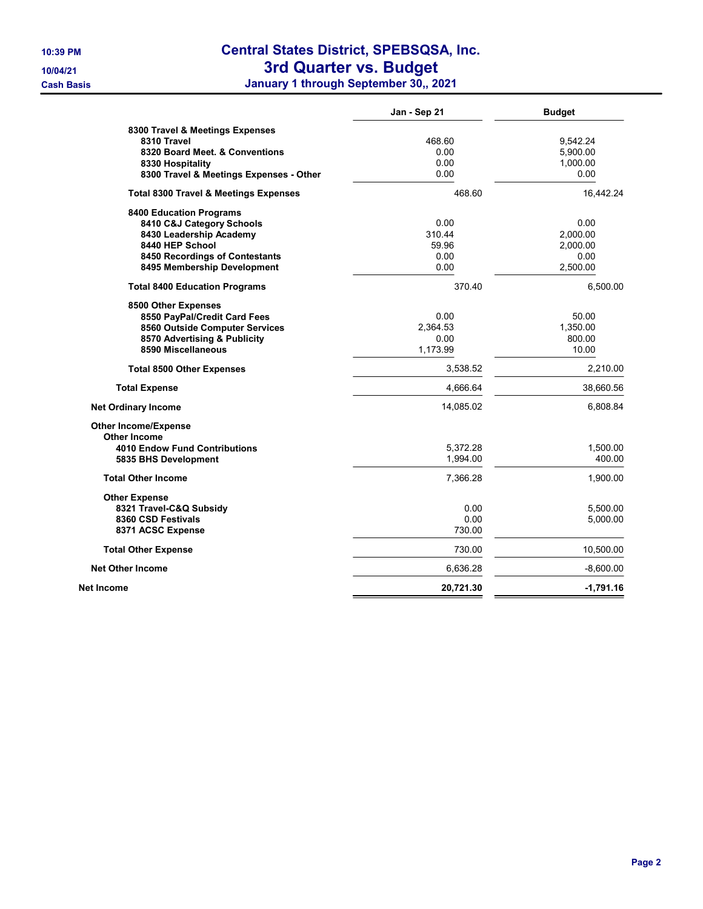## 10:39 PM Central States District, SPEBSQSA, Inc.

10/04/21 **3rd Quarter vs. Budget** 

Cash Basis January 1 through September 30,, 2021

|                                                  | Jan - Sep 21 | <b>Budget</b> |
|--------------------------------------------------|--------------|---------------|
| 8300 Travel & Meetings Expenses                  |              |               |
| 8310 Travel                                      | 468.60       | 9,542.24      |
| 8320 Board Meet, & Conventions                   | 0.00         | 5,900.00      |
| 8330 Hospitality                                 | 0.00         | 1,000.00      |
| 8300 Travel & Meetings Expenses - Other          | 0.00         | 0.00          |
| <b>Total 8300 Travel &amp; Meetings Expenses</b> | 468.60       | 16,442.24     |
| <b>8400 Education Programs</b>                   |              |               |
| 8410 C&J Category Schools                        | 0.00         | 0.00          |
| 8430 Leadership Academy                          | 310.44       | 2,000.00      |
| 8440 HEP School                                  | 59.96        | 2,000.00      |
| 8450 Recordings of Contestants                   | 0.00         | 0.00          |
| 8495 Membership Development                      | 0.00         | 2,500.00      |
| <b>Total 8400 Education Programs</b>             | 370.40       | 6,500.00      |
| 8500 Other Expenses                              |              |               |
| 8550 PayPal/Credit Card Fees                     | 0.00         | 50.00         |
| 8560 Outside Computer Services                   | 2,364.53     | 1,350.00      |
| 8570 Advertising & Publicity                     | 0.00         | 800.00        |
| 8590 Miscellaneous                               | 1,173.99     | 10.00         |
| <b>Total 8500 Other Expenses</b>                 | 3,538.52     | 2.210.00      |
| <b>Total Expense</b>                             | 4,666.64     | 38,660.56     |
| <b>Net Ordinary Income</b>                       | 14,085.02    | 6,808.84      |
| <b>Other Income/Expense</b>                      |              |               |
| <b>Other Income</b>                              |              |               |
| <b>4010 Endow Fund Contributions</b>             | 5,372.28     | 1,500.00      |
| 5835 BHS Development                             | 1,994.00     | 400.00        |
| <b>Total Other Income</b>                        | 7,366.28     | 1,900.00      |
| <b>Other Expense</b>                             |              |               |
| 8321 Travel-C&Q Subsidy                          | 0.00         | 5,500.00      |
| 8360 CSD Festivals                               | 0.00         | 5,000.00      |
| 8371 ACSC Expense                                | 730.00       |               |
| <b>Total Other Expense</b>                       | 730.00       | 10,500.00     |
| <b>Net Other Income</b>                          | 6,636.28     | $-8,600.00$   |
| Net Income                                       | 20,721.30    | $-1,791.16$   |
|                                                  |              |               |